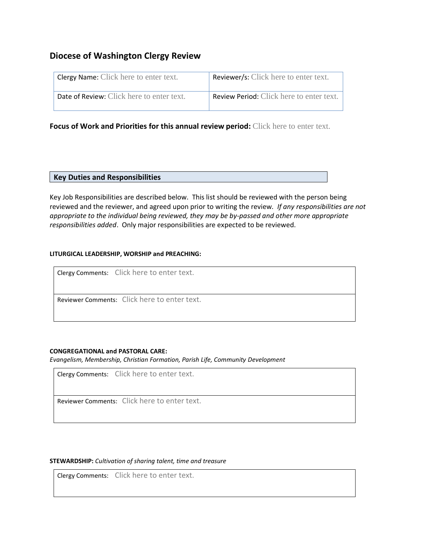# **Diocese of Washington Clergy Review**

| <b>Clergy Name:</b> Click here to enter text. | <b>Reviewer/s:</b> Click here to enter text.    |
|-----------------------------------------------|-------------------------------------------------|
| Date of Review: Click here to enter text.     | <b>Review Period:</b> Click here to enter text. |

**Focus of Work and Priorities for this annual review period:** Click here to enter text.

## **Key Duties and Responsibilities**

Key Job Responsibilities are described below. This list should be reviewed with the person being reviewed and the reviewer, and agreed upon prior to writing the review*. If any responsibilities are not appropriate to the individual being reviewed, they may be by-passed and other more appropriate responsibilities added*. Only major responsibilities are expected to be reviewed.

## **LITURGICAL LEADERSHIP, WORSHIP and PREACHING:**

Clergy Comments: Click here to enter text.

Reviewer Comments: Click here to enter text.

## **CONGREGATIONAL and PASTORAL CARE:**

*Evangelism, Membership, Christian Formation, Parish Life, Community Development*

Clergy Comments: Click here to enter text.

Reviewer Comments: Click here to enter text.

### **STEWARDSHIP:** *Cultivation of sharing talent, time and treasure*

Clergy Comments: Click here to enter text.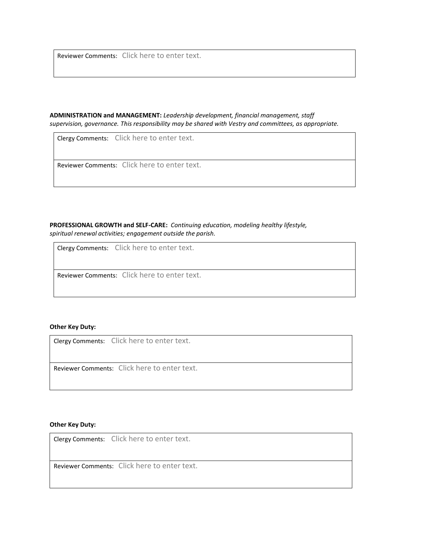Reviewer Comments: Click here to enter text.

**ADMINISTRATION and MANAGEMENT:** *Leadership development, financial management, staff supervision, governance. This responsibility may be shared with Vestry and committees, as appropriate.* 

Clergy Comments: Click here to enter text.

Reviewer Comments: Click here to enter text.

**PROFESSIONAL GROWTH and SELF-CARE:** *Continuing education, modeling healthy lifestyle, spiritual renewal activities; engagement outside the parish.*

Clergy Comments: Click here to enter text.

Reviewer Comments: Click here to enter text.

### **Other Key Duty:**

Clergy Comments: Click here to enter text.

Reviewer Comments: Click here to enter text.

#### **Other Key Duty:**

Clergy Comments: Click here to enter text.

Reviewer Comments: Click here to enter text.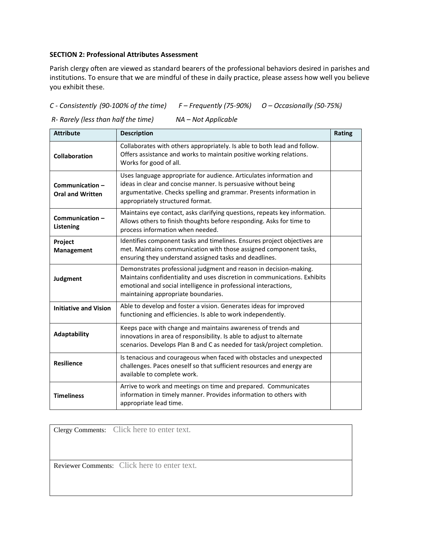## **SECTION 2: Professional Attributes Assessment**

Parish clergy often are viewed as standard bearers of the professional behaviors desired in parishes and institutions. To ensure that we are mindful of these in daily practice, please assess how well you believe you exhibit these.

## *C - Consistently (90-100% of the time) F – Frequently (75-90%) O – Occasionally (50-75%)*

*R- Rarely (less than half the time) NA – Not Applicable*

| <b>Attribute</b>                          | <b>Description</b>                                                                                                                                                                                                                                       | Rating |
|-------------------------------------------|----------------------------------------------------------------------------------------------------------------------------------------------------------------------------------------------------------------------------------------------------------|--------|
| <b>Collaboration</b>                      | Collaborates with others appropriately. Is able to both lead and follow.<br>Offers assistance and works to maintain positive working relations.<br>Works for good of all.                                                                                |        |
| Communication-<br><b>Oral and Written</b> | Uses language appropriate for audience. Articulates information and<br>ideas in clear and concise manner. Is persuasive without being<br>argumentative. Checks spelling and grammar. Presents information in<br>appropriately structured format.         |        |
| Communication-<br>Listening               | Maintains eye contact, asks clarifying questions, repeats key information.<br>Allows others to finish thoughts before responding. Asks for time to<br>process information when needed.                                                                   |        |
| Project<br>Management                     | Identifies component tasks and timelines. Ensures project objectives are<br>met. Maintains communication with those assigned component tasks,<br>ensuring they understand assigned tasks and deadlines.                                                  |        |
| Judgment                                  | Demonstrates professional judgment and reason in decision-making.<br>Maintains confidentiality and uses discretion in communications. Exhibits<br>emotional and social intelligence in professional interactions,<br>maintaining appropriate boundaries. |        |
| <b>Initiative and Vision</b>              | Able to develop and foster a vision. Generates ideas for improved<br>functioning and efficiencies. Is able to work independently.                                                                                                                        |        |
| Adaptability                              | Keeps pace with change and maintains awareness of trends and<br>innovations in area of responsibility. Is able to adjust to alternate<br>scenarios. Develops Plan B and C as needed for task/project completion.                                         |        |
| <b>Resilience</b>                         | Is tenacious and courageous when faced with obstacles and unexpected<br>challenges. Paces oneself so that sufficient resources and energy are<br>available to complete work.                                                                             |        |
| <b>Timeliness</b>                         | Arrive to work and meetings on time and prepared. Communicates<br>information in timely manner. Provides information to others with<br>appropriate lead time.                                                                                            |        |

Clergy Comments: Click here to enter text.

Reviewer Comments: Click here to enter text.